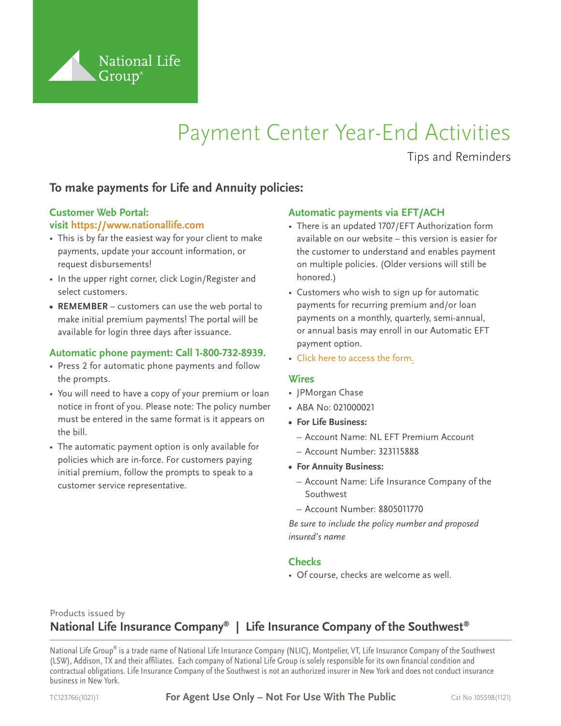

# Payment Center Year-End Activities

Tips and Reminders

# **To make payments for Life and Annuity policies:**

# **Customer Web Portal:**

#### **visit <https://www.nationallife.com>**

- This is by far the easiest way for your client to make payments, update your account information, or request disbursements!
- In the upper right corner, click Login/Register and select customers.
- **• REMEMBER** customers can use the web portal to make initial premium payments! The portal will be available for login three days after issuance.

#### **Automatic phone payment: Call 1-800-732-8939.**

- Press 2 for automatic phone payments and follow the prompts.
- You will need to have a copy of your premium or loan notice in front of you. Please note: The policy number must be entered in the same format is it appears on the bill.
- The automatic payment option is only available for policies which are in-force. For customers paying initial premium, follow the prompts to speak to a customer service representative.

#### **Automatic payments via EFT/ACH**

- There is an updated 1707/EFT Authorization form available on our website – this version is easier for the customer to understand and enables payment on multiple policies. (Older versions will still be honored.)
- Customers who wish to sign up for automatic payments for recurring premium and/or loan payments on a monthly, quarterly, semi-annual, or annual basis may enroll in our Automatic EFT payment option.
- [Click here to access the form.](https://merrillconnect.iscorp.com/nlg/viewDocument.action?itemNbr=52381)

#### **Wires**

- JPMorgan Chase
- ABA No: 021000021
- **• For Life Business:**
	- Account Name: NL EFT Premium Account
	- Account Number: 323115888
- **• For Annuity Business:**
	- Account Name: Life Insurance Company of the Southwest
	- Account Number: 8805011770

*Be sure to include the policy number and proposed insured's name*

### **Checks**

• Of course, checks are welcome as well.

## Products issued by **National Life Insurance Company® | Life Insurance Company of the Southwest®**

National Life Group® is a trade name of National Life Insurance Company (NLIC), Montpelier, VT, Life Insurance Company of the Southwest (LSW), Addison, TX and their affiliates. Each company of National Life Group is solely responsible for its own financial condition and contractual obligations. Life Insurance Company of the Southwest is not an authorized insurer in New York and does not conduct insurance business in New York.

TC123766(1021)1 **For Agent Use Only – Not For Use With The Public** Cat No 105598(1121)